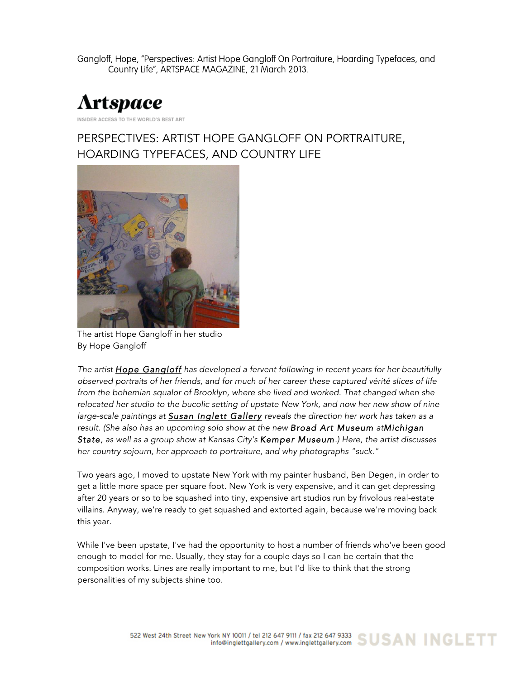Gangloff, Hope, "Perspectives: Artist Hope Gangloff On Portraiture, Hoarding Typefaces, and Country Life", ARTSPACE MAGAZINE, 21 March 2013.



## PERSPECTIVES: ARTIST HOPE GANGLOFF ON PORTRAITURE, HOARDING TYPEFACES, AND COUNTRY LIFE



The artist Hope Gangloff in her studio By Hope Gangloff

*The artist Hope Gangloff has developed a fervent following in recent years for her beautifully observed portraits of her friends, and for much of her career these captured vérité slices of life from the bohemian squalor of Brooklyn, where she lived and worked. That changed when she relocated her studio to the bucolic setting of upstate New York, and now her new show of nine large-scale paintings at Susan Inglett Gallery reveals the direction her work has taken as a result. (She also has an upcoming solo show at the new Broad Art Museum atMichigan State, as well as a group show at Kansas City's Kemper Museum.) Here, the artist discusses her country sojourn, her approach to portraiture, and why photographs "suck."*

Two years ago, I moved to upstate New York with my painter husband, Ben Degen, in order to get a little more space per square foot. New York is very expensive, and it can get depressing after 20 years or so to be squashed into tiny, expensive art studios run by frivolous real-estate villains. Anyway, we're ready to get squashed and extorted again, because we're moving back this year.

While I've been upstate, I've had the opportunity to host a number of friends who've been good enough to model for me. Usually, they stay for a couple days so I can be certain that the composition works. Lines are really important to me, but I'd like to think that the strong personalities of my subjects shine too.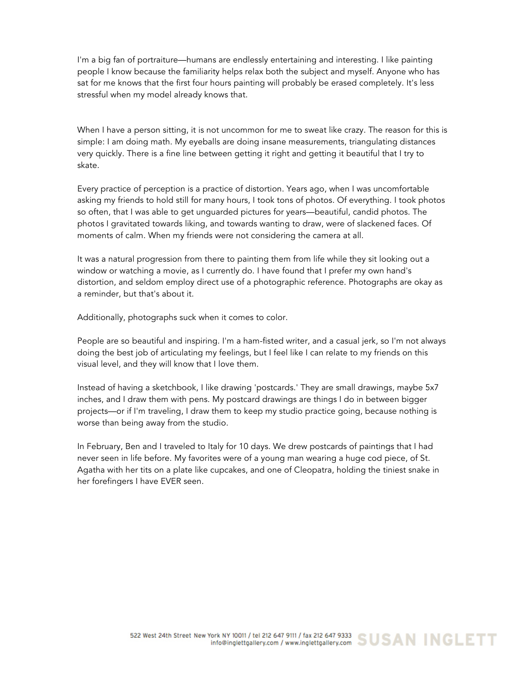I'm a big fan of portraiture—humans are endlessly entertaining and interesting. I like painting people I know because the familiarity helps relax both the subject and myself. Anyone who has sat for me knows that the first four hours painting will probably be erased completely. It's less stressful when my model already knows that.

When I have a person sitting, it is not uncommon for me to sweat like crazy. The reason for this is simple: I am doing math. My eyeballs are doing insane measurements, triangulating distances very quickly. There is a fine line between getting it right and getting it beautiful that I try to skate.

Every practice of perception is a practice of distortion. Years ago, when I was uncomfortable asking my friends to hold still for many hours, I took tons of photos. Of everything. I took photos so often, that I was able to get unguarded pictures for years—beautiful, candid photos. The photos I gravitated towards liking, and towards wanting to draw, were of slackened faces. Of moments of calm. When my friends were not considering the camera at all.

It was a natural progression from there to painting them from life while they sit looking out a window or watching a movie, as I currently do. I have found that I prefer my own hand's distortion, and seldom employ direct use of a photographic reference. Photographs are okay as a reminder, but that's about it.

Additionally, photographs suck when it comes to color.

People are so beautiful and inspiring. I'm a ham-fisted writer, and a casual jerk, so I'm not always doing the best job of articulating my feelings, but I feel like I can relate to my friends on this visual level, and they will know that I love them.

Instead of having a sketchbook, I like drawing 'postcards.' They are small drawings, maybe 5x7 inches, and I draw them with pens. My postcard drawings are things I do in between bigger projects—or if I'm traveling, I draw them to keep my studio practice going, because nothing is worse than being away from the studio.

In February, Ben and I traveled to Italy for 10 days. We drew postcards of paintings that I had never seen in life before. My favorites were of a young man wearing a huge cod piece, of St. Agatha with her tits on a plate like cupcakes, and one of Cleopatra, holding the tiniest snake in her forefingers I have EVER seen.